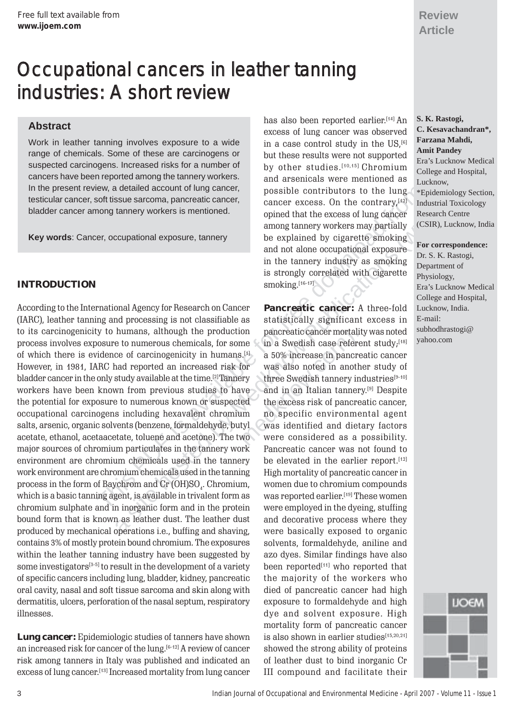# Occupational cancers in leather tanning industries: A short review

# **Abstract**

Work in leather tanning involves exposure to a wide in a case control study in the US,<sup>[6]</sup> **Farzana Mahdi, Farzana Mahdi**, range of chemicals. Some of these are carcinogens or but these results were not supported **Amit Pandey**<br> **Amit Pandey Amit Pandey Amit Pandey Amit Pandey Amit Pandey Amit Pandey Amit Pandey Amit Pandey Amit** suspected carcinogens. Increased risks for a number of the studies.<sup>[10,15]</sup> Chromium cancers have been reported among the tannery workers.<br>In the present review, a detailed account of lung cancer, possible contributors to testicular cancer, soft tissue sarcoma, pancreatic cancer, bladder cancer among tannery workers is mentioned.

**Key words**: Cancer, occupational exposure, tannery be explained by cigarette smoking

Every a detailed account of lung cancer are a simple contributors to the lung capacity industrial<br>cost this avevation and capacite cancer correct control and compare the control and the control and the control and the com **INTRODUCTION** smoking.<sup>[16-17]</sup> Smoking.<sup>[16-17]</sup> According to the International Agency for Research on Cancer **Pancreatic cancer:** A three-fold (IARC), leather tanning and processing is not classifiable as to its carcinogenicity to humans, although the production pancreatic cancer mortality was noted process involves exposure to numerous chemicals, for some in a Swedish case referent study;  $[18]$ of which there is evidence of carcinogenicity in humans.[1] a 50% increase in pancreatic cancer However, in 1981, IARC had reported an increased risk for was also noted in another study of bladder cancer in the only study available at the time.<sup>[2]</sup> Tannery workers have been known from previous studies to have the potential for exposure to numerous known or suspected occupational carcinogens including hexavalent chromium no specific environmental agent salts, arsenic, organic solvents (benzene, formaldehyde, butyl was identified and dietary factors acetate, ethanol, acetaacetate, toluene and acetone). The two were considered as a possibility. major sources of chromium particulates in the tannery work environment are chromium chemicals used in the tannery be elevated in the earlier report.<sup>[12]</sup> work environment are chromium chemicals used in the tanning High mortality of pancreatic cancer in process in the form of Baychrom and Cr (OH)SO $_{\tiny 4}$ which is a basic tanning agent, is available in trivalent form as chromium sulphate and in inorganic form and in the protein were employed in the dyeing, stuffing bound form that is known as leather dust. The leather dust and decorative process where they produced by mechanical operations i.e., buffing and shaving, were basically exposed to organic contains 3% of mostly protein bound chromium. The exposures solvents, formaldehyde, aniline and within the leather tanning industry have been suggested by azo dyes. Similar findings have also some investigators $[3\cdot5]$  to result in the development of a variety been reported<sup>[11]</sup> who reported that of specific cancers including lung, bladder, kidney, pancreatic the majority of the workers who oral cavity, nasal and soft tissue sarcoma and skin along with died of pancreatic cancer had high dermatitis, ulcers, perforation of the nasal septum, respiratory illnesses. dye and solvent exposure. High

**Lung cancer:** Epidemiologic studies of tanners have shown is also shown in earlier studies<sup>[15,20,21]</sup> an increased risk for cancer of the lung.<sup>[6-12]</sup> A review of cancer showed the strong ability of proteins risk among tanners in Italy was published and indicated an of leather dust to bind inorganic Cr<br>excess of lung cancer.<sup>[13]</sup> Increased mortality from lung cancer III compound and facilitate their

has also been reported earlier . e x cess of lung cancer was observed **C. Kesavachandran\*,**  xcess. On the contrary, [12] opined that the excess of lung cancer among tannery workers may partially and not alone occupational exposure in the tannery industry as smoking is strongly correlated with cigarette

statistically significant excess in three Swedish tannery industries<sup>[9-10]</sup> . [9] Despite the excess risk of pancreatic cancer, Pancreatic cancer was not found to women due to chromium compounds . [19] These women exposure to formaldehyde and high mortality form of pancreatic cancer

S. K. Rastogi,<br>C. Kesavachandran\*, Research Centre (CSIR), Lucknow, India \*Epidemiology Section, Industrial Toxicology

### **For correspondence:**

Dr. S. K. Rastogi, Department of Physiology , Era's Lucknow Medical College and Hospital, Lucknow, India. E-mail: subhodhrastogi@ yahoo.com

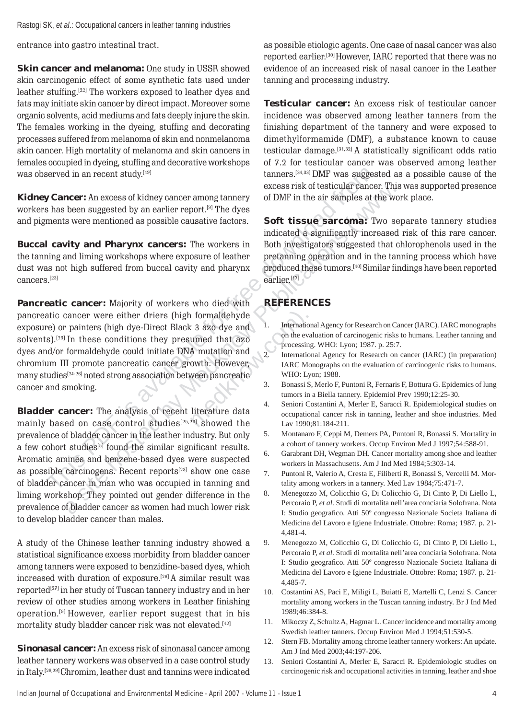Rastogi SK, *et al*.: Occupational cancers in leather tanning industries

entrance into gastro intestinal tract.

**Skin cancer and melanoma:** One study in USSR showed skin carcinogenic effect of some synthetic fats used under leather stuffing.[22] The workers exposed to leather dyes and fats may initiate skin cancer by direct impact. Moreover some organic solvents, acid mediums and fats deeply injure the skin. The females working in the dyeing, stuffing and decorating processes suffered from melanoma of skin and nonmelanoma skin cancer. High mortality of melanoma and skin cancers in females occupied in dyeing, stuffing and decorative workshops of 7.2 for testicular cancer was observed among leather was observed in an recent study.[19]

**Kidney Cancer:** An excess of kidney cancer among tannery workers has been suggested by an earlier report.<sup>[9]</sup> The dyes

the tanning and liming workshops where exposure of leather pretanning operation and in the tanning process which have dust was not high suffered from buccal cavity and pharynx produced these tumors.[10] Similar findings have been reported cancers.<sup>[23]</sup>

**Pancreatic cancer:** Majority of workers who died with **REFERENCES**  pancreatic cancer were either driers (high formaldehyde exposure) or painters (high dye-Direct Black 3 azo dye and solvents).<sup>[23]</sup> In these conditions they presumed that azo<br>dyes and/or formaldehyde could initiate DNA mutation and<br>2. International Agency for Research on cancer (IARC) (in preparation) chromium III promote pancreatic cancer growth. However, IARC Monographs on the evaluation of carcinogenic risks to humans. many studies<sup>[24-26]</sup> noted strong association between pancreatic WHO: Lyon; 1988. cancer and smoking. **3. Bonassi S, Merlo F, Puntoni R, Fernaris F, Bottura G**. Epidemics of lung

served in an recont study.<sup>169</sup> tanners.<sup>[9,130</sup>] the similar available **y** concern This associal from a site of the similar order in the tankomic and **a control in the download from a site of the similar studies (was a Bladder cancer:** The analysis of recent literature data occupational cancer risk in tanning, leather and shoe industries. Med mainly based on case control studies<sup>[25,26]</sup> showed the Lav 1990;81:184-211. prevalence of bladder cancer in the leather industry. But only 5. Montanaro F, Ceppi M, Demers PA, Puntoni R, Bonassi S. Mortality in<br>a cohort studies<sup>[5]</sup> found the similar significant results a cohort of tannery workers. a few cohort studies<sup>[5]</sup> found the similar significant results.  $\overline{6}$ . Aromatic amines and benzene-based dyes were suspected workers in Massachusetts. Am J Ind Med 1984;5:303-14. as possible carcinogens. Recent reports<sup>[23]</sup> show one case  $\frac{7}{4}$ of bladder cancer in man who was occupied in tanning and tality among workers in a tannery. Med Lav 1984;75:471-7. liming workshop. They pointed out gender difference in the 8. Menegozzo M, Colicchio G, Di Colicchio G, Di Cinto P, Di Liello L,<br>Percoraio P, et al. Studi di mortalita nell'area conciaria Solofrana. Nota prevalence of bladder cancer as women had much lower risk

A study of the Chinese leather tanning industry showed a statistical significance e xcess morbidity from bladder cancer among tanners were exposed to benzidine-based dyes, which increased with duration of exposure.[26] A similar result was reported<sup>[27]</sup> in her study of Tuscan tannery industry and in her review of other studies among workers in Leather finishing operation.[9] However, earlier report suggest that in his mortality study bladder cancer risk was not elevated.<sup>[12]</sup>

**Sinonasal cancer:** An e xcess risk of sinonasal cancer among leather tannery workers was observed in a case control study in Italy. [28,29] Chromim, leather dust and tannins were indicated

as possible etiologic agents. One case of nasal cancer was also reported earlier . [30] However, IARC reported that there was no evidence of an increased risk of nasal cancer in the Leather tanning and processing industry.

**Testicular cancer:** An excess risk of testicular cancer incidence was observed among leather tanners from the finishing department of the tannery and were exposed to dimethylformamide (DMF), a substance known to cause testicular damage.  $[34,32]$  A statistically significant odds ratio tanners.<sup>[31,33]</sup> DMF was suggested as a possible cause of the excess risk of testicular cancer. This was supported presence of DMF in the air samples at the work place.

and pigments were mentioned as possible causative factors. **Soft tissue sarcoma:** Two separate tannery studies indicated a significantly increased risk of this rare cancer. **Buccal cavity and Pharynx cancers:** The workers in Both investigators suggested that chlorophenols used in the . [17]

- 1. International Agency for Research on Cancer (IARC). IARC monographs
- 
- tumors in a Biella tannery. Epidemiol Prev 1990;12:25-30.
- 4. Seniori Costantini A, Merler E, Saracci R. Epidemiological studies on
- 
- Garabrant DH, Wegman DH. Cancer mortality among shoe and leather
- Valerio A, Cresta E, Filiberti R, Bonassi S, Vercelli M. Mor -
- I: Studio geografico. Atti 50° congresso Nazionale Societa Italiana di fico. Atti 50º congresso Nazionale Societa Italiana di to develop bladder cancer than males.<br>Medicina del Lavoro e Igiene Industriale. Ottobre: Roma; 1987. p. 21-4,481-4.
	- 9. Menegozzo M, Colicchio G, Di Colicchio G, Di Cinto P, Di Liello L, Percoraio P, *et al*. Studi di mortalita nell'area conciaria Solofrana. Nota I: Studio geogra fico. Atti 50º congresso Nazionale Societa Italiana di Medicina del Lavoro e Igiene Industriale. Ottobre: Roma; 1987. p. 21 4,485-7.
	- 10. Costantini AS, Paci E, Miligi L, Buiatti E, Martelli C, Lenzi S. Cancer mortality among workers in the Tuscan tanning industry. Br J Ind Med 1989;46:384-8.
	- 1 1 . Mikoczy Z, Schultz A, Hagmar L. Cancer incidence and mortality among Swedish leather tanners. Occup Environ Med J 1994;51:530-5.
	- 12. Stern FB. Mortality among chrome leather tannery workers: An update. Am J Ind Med 2003;44:197-206.
	- 13. Seniori Costantini A, Merler E, Saracci R. Epidemiologic studies on carcinogenic risk and occupational activities in tanning, leather and shoe